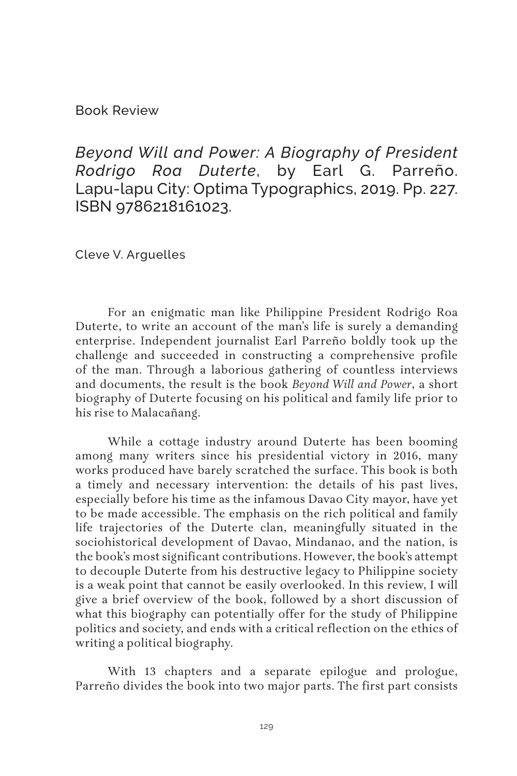Book Review

*Beyond Will and Power: A Biography of President Rodrigo Roa Duterte*, by Earl G. Parreño. Lapu-lapu City: Optima Typographics, 2019. Pp. 227. ISBN 9786218161023.

Cleve V. Arguelles

For an enigmatic man like Philippine President Rodrigo Roa Duterte, to write an account of the man's life is surely a demanding enterprise. Independent journalist Earl Parreño boldly took up the challenge and succeeded in constructing a comprehensive profile of the man. Through a laborious gathering of countless interviews and documents, the result is the book *Beyond Will and Power*, a short biography of Duterte focusing on his political and family life prior to his rise to Malacañang.

While a cottage industry around Duterte has been booming among many writers since his presidential victory in 2016, many works produced have barely scratched the surface. This book is both a timely and necessary intervention: the details of his past lives, especially before his time as the infamous Davao City mayor, have yet to be made accessible. The emphasis on the rich political and family life trajectories of the Duterte clan, meaningfully situated in the sociohistorical development of Davao, Mindanao, and the nation, is the book's most significant contributions. However, the book's attempt to decouple Duterte from his destructive legacy to Philippine society is a weak point that cannot be easily overlooked. In this review, I will give a brief overview of the book, followed by a short discussion of what this biography can potentially offer for the study of Philippine politics and society, and ends with a critical reflection on the ethics of writing a political biography.

With 13 chapters and a separate epilogue and prologue, Parreño divides the book into two major parts. The first part consists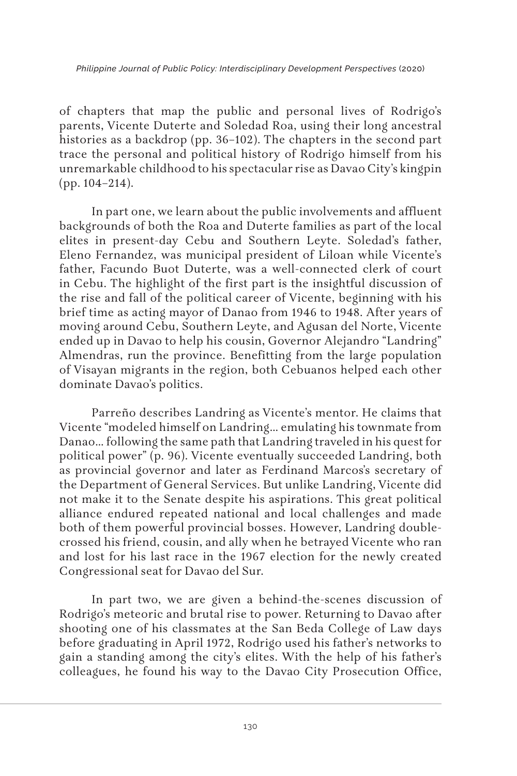of chapters that map the public and personal lives of Rodrigo's parents, Vicente Duterte and Soledad Roa, using their long ancestral histories as a backdrop (pp. 36–102). The chapters in the second part trace the personal and political history of Rodrigo himself from his unremarkable childhood to his spectacular rise as Davao City's kingpin (pp. 104–214).

In part one, we learn about the public involvements and affluent backgrounds of both the Roa and Duterte families as part of the local elites in present-day Cebu and Southern Leyte. Soledad's father, Eleno Fernandez, was municipal president of Liloan while Vicente's father, Facundo Buot Duterte, was a well-connected clerk of court in Cebu. The highlight of the first part is the insightful discussion of the rise and fall of the political career of Vicente, beginning with his brief time as acting mayor of Danao from 1946 to 1948. After years of moving around Cebu, Southern Leyte, and Agusan del Norte, Vicente ended up in Davao to help his cousin, Governor Alejandro "Landring" Almendras, run the province. Benefitting from the large population of Visayan migrants in the region, both Cebuanos helped each other dominate Davao's politics.

Parreño describes Landring as Vicente's mentor. He claims that Vicente "modeled himself on Landring… emulating his townmate from Danao… following the same path that Landring traveled in his quest for political power" (p. 96). Vicente eventually succeeded Landring, both as provincial governor and later as Ferdinand Marcos's secretary of the Department of General Services. But unlike Landring, Vicente did not make it to the Senate despite his aspirations. This great political alliance endured repeated national and local challenges and made both of them powerful provincial bosses. However, Landring doublecrossed his friend, cousin, and ally when he betrayed Vicente who ran and lost for his last race in the 1967 election for the newly created Congressional seat for Davao del Sur.

In part two, we are given a behind-the-scenes discussion of Rodrigo's meteoric and brutal rise to power. Returning to Davao after shooting one of his classmates at the San Beda College of Law days before graduating in April 1972, Rodrigo used his father's networks to gain a standing among the city's elites. With the help of his father's colleagues, he found his way to the Davao City Prosecution Office,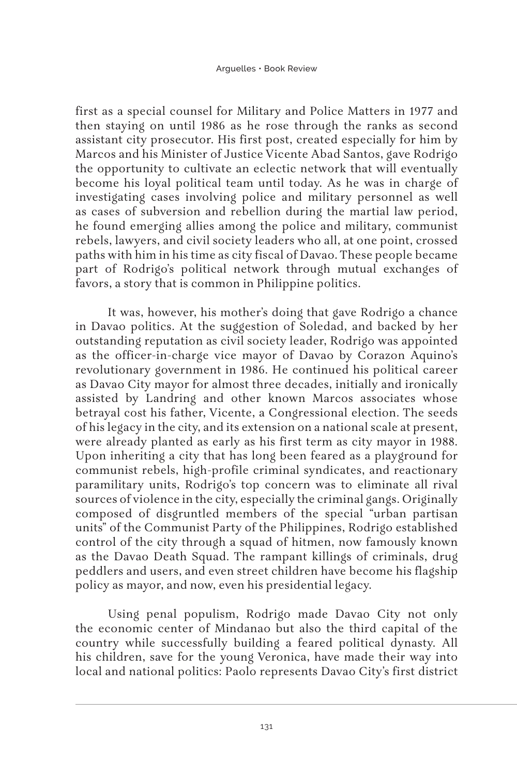first as a special counsel for Military and Police Matters in 1977 and then staying on until 1986 as he rose through the ranks as second assistant city prosecutor. His first post, created especially for him by Marcos and his Minister of Justice Vicente Abad Santos, gave Rodrigo the opportunity to cultivate an eclectic network that will eventually become his loyal political team until today. As he was in charge of investigating cases involving police and military personnel as well as cases of subversion and rebellion during the martial law period, he found emerging allies among the police and military, communist rebels, lawyers, and civil society leaders who all, at one point, crossed paths with him in his time as city fiscal of Davao. These people became part of Rodrigo's political network through mutual exchanges of favors, a story that is common in Philippine politics.

It was, however, his mother's doing that gave Rodrigo a chance in Davao politics. At the suggestion of Soledad, and backed by her outstanding reputation as civil society leader, Rodrigo was appointed as the officer-in-charge vice mayor of Davao by Corazon Aquino's revolutionary government in 1986. He continued his political career as Davao City mayor for almost three decades, initially and ironically assisted by Landring and other known Marcos associates whose betrayal cost his father, Vicente, a Congressional election. The seeds of his legacy in the city, and its extension on a national scale at present, were already planted as early as his first term as city mayor in 1988. Upon inheriting a city that has long been feared as a playground for communist rebels, high-profile criminal syndicates, and reactionary paramilitary units, Rodrigo's top concern was to eliminate all rival sources of violence in the city, especially the criminal gangs. Originally composed of disgruntled members of the special "urban partisan units" of the Communist Party of the Philippines, Rodrigo established control of the city through a squad of hitmen, now famously known as the Davao Death Squad. The rampant killings of criminals, drug peddlers and users, and even street children have become his flagship policy as mayor, and now, even his presidential legacy.

Using penal populism, Rodrigo made Davao City not only the economic center of Mindanao but also the third capital of the country while successfully building a feared political dynasty. All his children, save for the young Veronica, have made their way into local and national politics: Paolo represents Davao City's first district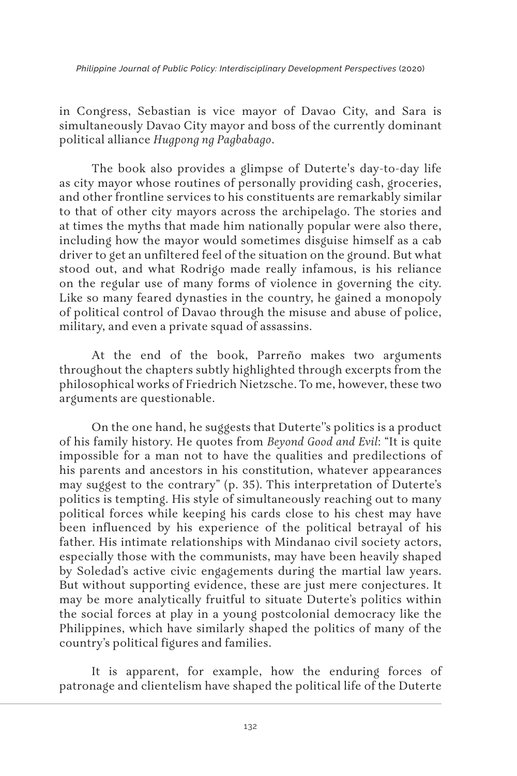*Philippine Journal of Public Policy: Interdisciplinary Development Perspectives* (2020)

in Congress, Sebastian is vice mayor of Davao City, and Sara is simultaneously Davao City mayor and boss of the currently dominant political alliance *Hugpong ng Pagbabago*.

The book also provides a glimpse of Duterte's day-to-day life as city mayor whose routines of personally providing cash, groceries, and other frontline services to his constituents are remarkably similar to that of other city mayors across the archipelago. The stories and at times the myths that made him nationally popular were also there, including how the mayor would sometimes disguise himself as a cab driver to get an unfiltered feel of the situation on the ground. But what stood out, and what Rodrigo made really infamous, is his reliance on the regular use of many forms of violence in governing the city. Like so many feared dynasties in the country, he gained a monopoly of political control of Davao through the misuse and abuse of police, military, and even a private squad of assassins.

At the end of the book, Parreño makes two arguments throughout the chapters subtly highlighted through excerpts from the philosophical works of Friedrich Nietzsche. To me, however, these two arguments are questionable.

On the one hand, he suggests that Duterte''s politics is a product of his family history. He quotes from *Beyond Good and Evil*: "It is quite impossible for a man not to have the qualities and predilections of his parents and ancestors in his constitution, whatever appearances may suggest to the contrary" (p. 35). This interpretation of Duterte's politics is tempting. His style of simultaneously reaching out to many political forces while keeping his cards close to his chest may have been influenced by his experience of the political betrayal of his father. His intimate relationships with Mindanao civil society actors, especially those with the communists, may have been heavily shaped by Soledad's active civic engagements during the martial law years. But without supporting evidence, these are just mere conjectures. It may be more analytically fruitful to situate Duterte's politics within the social forces at play in a young postcolonial democracy like the Philippines, which have similarly shaped the politics of many of the country's political figures and families.

It is apparent, for example, how the enduring forces of patronage and clientelism have shaped the political life of the Duterte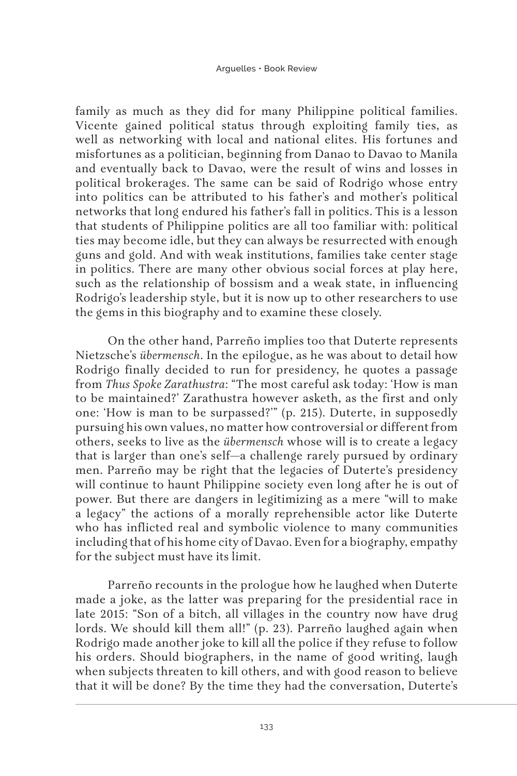family as much as they did for many Philippine political families. Vicente gained political status through exploiting family ties, as well as networking with local and national elites. His fortunes and misfortunes as a politician, beginning from Danao to Davao to Manila and eventually back to Davao, were the result of wins and losses in political brokerages. The same can be said of Rodrigo whose entry into politics can be attributed to his father's and mother's political networks that long endured his father's fall in politics. This is a lesson that students of Philippine politics are all too familiar with: political ties may become idle, but they can always be resurrected with enough guns and gold. And with weak institutions, families take center stage in politics. There are many other obvious social forces at play here, such as the relationship of bossism and a weak state, in influencing Rodrigo's leadership style, but it is now up to other researchers to use the gems in this biography and to examine these closely.

On the other hand, Parreño implies too that Duterte represents Nietzsche's *übermensch*. In the epilogue, as he was about to detail how Rodrigo finally decided to run for presidency, he quotes a passage from *Thus Spoke Zarathustra*: "The most careful ask today: 'How is man to be maintained?' Zarathustra however asketh, as the first and only one: 'How is man to be surpassed?'" (p. 215). Duterte, in supposedly pursuing his own values, no matter how controversial or different from others, seeks to live as the *übermensch* whose will is to create a legacy that is larger than one's self—a challenge rarely pursued by ordinary men. Parreño may be right that the legacies of Duterte's presidency will continue to haunt Philippine society even long after he is out of power. But there are dangers in legitimizing as a mere "will to make a legacy" the actions of a morally reprehensible actor like Duterte who has inflicted real and symbolic violence to many communities including that of his home city of Davao. Even for a biography, empathy for the subject must have its limit.

Parreño recounts in the prologue how he laughed when Duterte made a joke, as the latter was preparing for the presidential race in late 2015: "Son of a bitch, all villages in the country now have drug lords. We should kill them all!" (p. 23). Parreño laughed again when Rodrigo made another joke to kill all the police if they refuse to follow his orders. Should biographers, in the name of good writing, laugh when subjects threaten to kill others, and with good reason to believe that it will be done? By the time they had the conversation, Duterte's